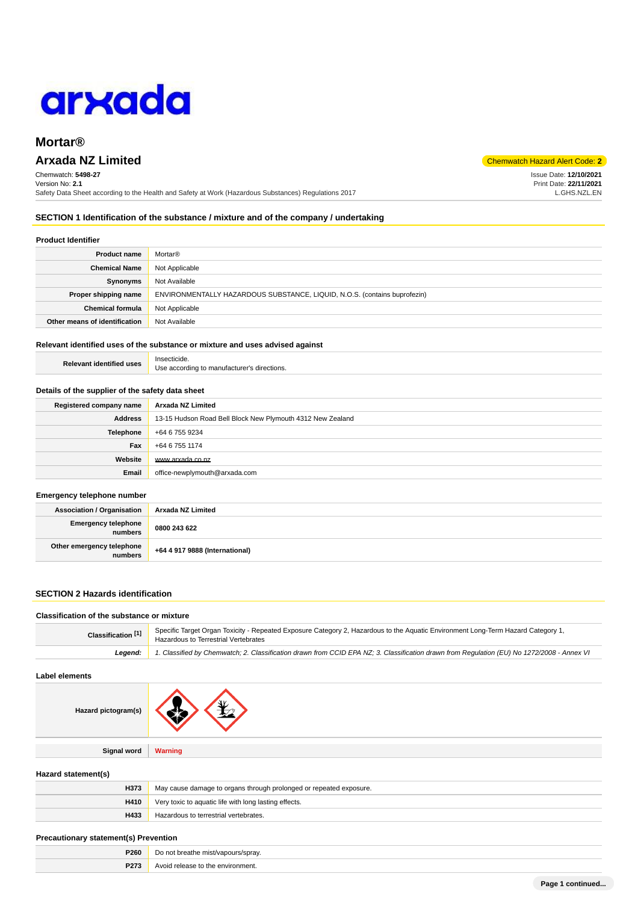

# **Mortar®**

# **Arxada NZ Limited** Code: **2**

Chemwatch: **5498-27** Version No: **2.1** Safety Data Sheet according to the Health and Safety at Work (Hazardous Substances) Regulations 2017

**SECTION 1 Identification of the substance / mixture and of the company / undertaking**

## **Product Identifier**

| <b>Product name</b>           | Mortar <sup>®</sup>                                                       |  |
|-------------------------------|---------------------------------------------------------------------------|--|
| <b>Chemical Name</b>          | Not Applicable                                                            |  |
| <b>Synonyms</b>               | Not Available                                                             |  |
| Proper shipping name          | ENVIRONMENTALLY HAZARDOUS SUBSTANCE, LIQUID, N.O.S. (contains buprofezin) |  |
| <b>Chemical formula</b>       | Not Applicable                                                            |  |
| Other means of identification | Not Available                                                             |  |

# **Relevant identified uses of the substance or mixture and uses advised against**

| <b>Relevant identified uses</b> | Insecticide.                                |
|---------------------------------|---------------------------------------------|
|                                 | Use according to manufacturer's directions. |

#### **Details of the supplier of the safety data sheet**

| Registered company name | Arxada NZ Limited                                          |  |
|-------------------------|------------------------------------------------------------|--|
| <b>Address</b>          | 13-15 Hudson Road Bell Block New Plymouth 4312 New Zealand |  |
| <b>Telephone</b>        | +64 6 755 9234                                             |  |
| Fax                     | +64 6 755 1174                                             |  |
| Website                 | www.arxada.co.nz                                           |  |
| Email                   | office-newplymouth@arxada.com                              |  |

#### **Emergency telephone number**

| <b>Association / Organisation</b>    | Arxada NZ Limited              |
|--------------------------------------|--------------------------------|
| Emergency telephone<br>numbers       | 0800 243 622                   |
| Other emergency telephone<br>numbers | +64 4 917 9888 (International) |

## **SECTION 2 Hazards identification**

#### **Classification of the substance or mixture**

| Classification <sup>[1]</sup> | Specific Target Organ Toxicity - Repeated Exposure Category 2, Hazardous to the Aquatic Environment Long-Term Hazard Category 1,<br>Hazardous to Terrestrial Vertebrates |  |
|-------------------------------|--------------------------------------------------------------------------------------------------------------------------------------------------------------------------|--|
| Leaend:                       | 1. Classified by Chemwatch; 2. Classification drawn from CCID EPA NZ; 3. Classification drawn from Regulation (EU) No 1272/2008 - Annex VI                               |  |

# **Label elements**

| Hazard pictogram(s) |                |
|---------------------|----------------|
|                     |                |
| <b>Signal word</b>  | <b>Warning</b> |
|                     |                |

# **Hazard statement(s)**

| H373 | May cause damage to organs through prolonged or repeated exposure. |  |
|------|--------------------------------------------------------------------|--|
| H410 | Very toxic to aquatic life with long lasting effects.              |  |
| H433 | Hazardous to terrestrial vertebrates.                              |  |

## **Precautionary statement(s) Prevention**

| DOCC            | 11C11<br>טו-מו |
|-----------------|----------------|
| DO <sub>7</sub> | /\ \ //        |
|                 | าment.         |

Issue Date: **12/10/2021** Print Date: **22/11/2021** L.GHS.NZL.EN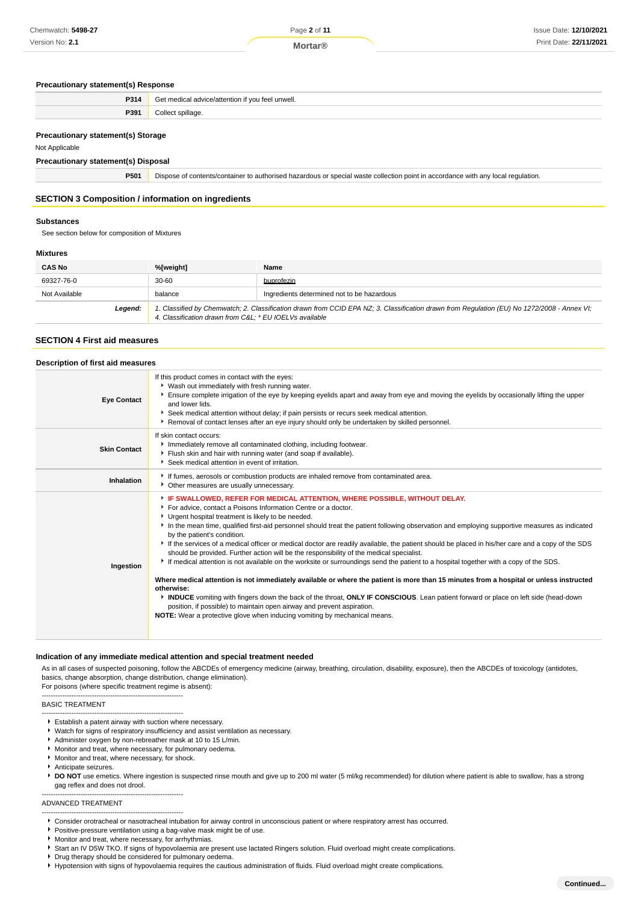#### **Precautionary statement(s) Response**

| P314 | Get medical advice/attention if you feel unwell. |
|------|--------------------------------------------------|
| P391 | Collect spillage.                                |
|      |                                                  |

# **Precautionary statement(s) Storage**

### Not Applicable

**Precautionary statement(s) Disposal**

**P501** Dispose of contents/container to authorised hazardous or special waste collection point in accordance with any local regulation.

## **SECTION 3 Composition / information on ingredients**

#### **Substances**

See section below for composition of Mixtures

#### **Mixtures**

| <b>CAS No</b> | %[weight]                                               | Name                                                                                                                                        |
|---------------|---------------------------------------------------------|---------------------------------------------------------------------------------------------------------------------------------------------|
| 69327-76-0    | $30 - 60$                                               | buprofezin                                                                                                                                  |
| Not Available | balance                                                 | Ingredients determined not to be hazardous                                                                                                  |
| Legend:       | 4. Classification drawn from C&L * EU IOEL Vs available | 1. Classified by Chemwatch; 2. Classification drawn from CCID EPA NZ; 3. Classification drawn from Regulation (EU) No 1272/2008 - Annex VI; |

## **SECTION 4 First aid measures**

| Description of first aid measures |                                                                                                                                                                                                                                                                                                                                                                                                                                                                                                                                                                                                                                                                                                                                                                                                                                                                                                                                                                                                                                                                                                                                                                                                                                  |  |  |
|-----------------------------------|----------------------------------------------------------------------------------------------------------------------------------------------------------------------------------------------------------------------------------------------------------------------------------------------------------------------------------------------------------------------------------------------------------------------------------------------------------------------------------------------------------------------------------------------------------------------------------------------------------------------------------------------------------------------------------------------------------------------------------------------------------------------------------------------------------------------------------------------------------------------------------------------------------------------------------------------------------------------------------------------------------------------------------------------------------------------------------------------------------------------------------------------------------------------------------------------------------------------------------|--|--|
| <b>Eye Contact</b>                | If this product comes in contact with the eyes:<br>• Wash out immediately with fresh running water.<br>Ensure complete irrigation of the eye by keeping eyelids apart and away from eye and moving the eyelids by occasionally lifting the upper<br>and lower lids.<br>Seek medical attention without delay; if pain persists or recurs seek medical attention.<br>▶ Removal of contact lenses after an eye injury should only be undertaken by skilled personnel.                                                                                                                                                                                                                                                                                                                                                                                                                                                                                                                                                                                                                                                                                                                                                               |  |  |
| <b>Skin Contact</b>               | If skin contact occurs:<br>Inmediately remove all contaminated clothing, including footwear.<br>Flush skin and hair with running water (and soap if available).<br>▶ Seek medical attention in event of irritation.                                                                                                                                                                                                                                                                                                                                                                                                                                                                                                                                                                                                                                                                                                                                                                                                                                                                                                                                                                                                              |  |  |
| Inhalation                        | If fumes, aerosols or combustion products are inhaled remove from contaminated area.<br>• Other measures are usually unnecessary.                                                                                                                                                                                                                                                                                                                                                                                                                                                                                                                                                                                                                                                                                                                                                                                                                                                                                                                                                                                                                                                                                                |  |  |
| Ingestion                         | FIF SWALLOWED, REFER FOR MEDICAL ATTENTION, WHERE POSSIBLE, WITHOUT DELAY.<br>For advice, contact a Poisons Information Centre or a doctor.<br>• Urgent hospital treatment is likely to be needed.<br>In the mean time, qualified first-aid personnel should treat the patient following observation and employing supportive measures as indicated<br>by the patient's condition.<br>If the services of a medical officer or medical doctor are readily available, the patient should be placed in his/her care and a copy of the SDS<br>should be provided. Further action will be the responsibility of the medical specialist.<br>If medical attention is not available on the worksite or surroundings send the patient to a hospital together with a copy of the SDS.<br>Where medical attention is not immediately available or where the patient is more than 15 minutes from a hospital or unless instructed<br>otherwise:<br>INDUCE vomiting with fingers down the back of the throat, ONLY IF CONSCIOUS. Lean patient forward or place on left side (head-down<br>position, if possible) to maintain open airway and prevent aspiration.<br>NOTE: Wear a protective glove when inducing vomiting by mechanical means. |  |  |

#### **Indication of any immediate medical attention and special treatment needed**

As in all cases of suspected poisoning, follow the ABCDEs of emergency medicine (airway, breathing, circulation, disability, exposure), then the ABCDEs of toxicology (antidotes, basics, change absorption, change distribution, change elimination). For poisons (where specific treatment regime is absent):

--------------------------------------------------------------

### BASIC TREATMENT

- -------------------------------------------------------------- Establish a patent airway with suction where necessary.
- Watch for signs of respiratory insufficiency and assist ventilation as necessary.
- Administer oxygen by non-rebreather mask at 10 to 15 L/min.
- Monitor and treat, where necessary, for pulmonary oedema.
- Monitor and treat, where necessary, for shock.

--------------------------------------------------------------

- Anticipate seizures.
- **DO NOT** use emetics. Where ingestion is suspected rinse mouth and give up to 200 ml water (5 ml/kg recommended) for dilution where patient is able to swallow, has a strong gag reflex and does not drool.

#### ADVANCED TREATMENT

- -------------------------------------------------------------- Consider orotracheal or nasotracheal intubation for airway control in unconscious patient or where respiratory arrest has occurred.
- **Positive-pressure ventilation using a bag-valve mask might be of use**
- **Monitor and treat, where necessary, for arrhythmias.**
- Start an IV D5W TKO. If signs of hypovolaemia are present use lactated Ringers solution. Fluid overload might create complications.
- Drug therapy should be considered for pulmonary oedema.
- Hypotension with signs of hypovolaemia requires the cautious administration of fluids. Fluid overload might create complications.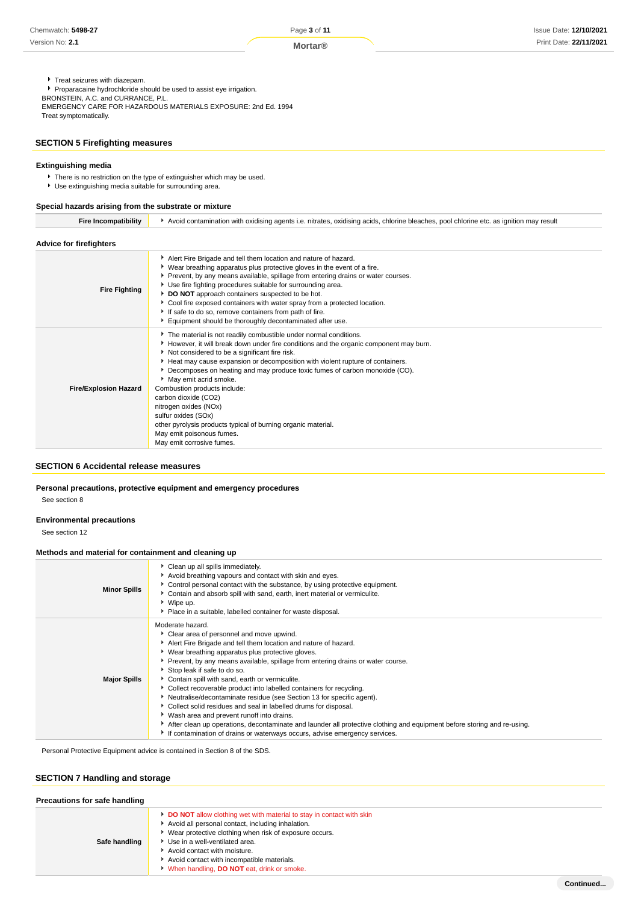# Issue Date: **12/10/2021** Print Date: **22/11/2021**

**F** Treat seizures with diazepam.

Proparacaine hydrochloride should be used to assist eye irrigation. BRONSTEIN, A.C. and CURRANCE, P.L.

EMERGENCY CARE FOR HAZARDOUS MATERIALS EXPOSURE: 2nd Ed. 1994 Treat symptomatically.

# **SECTION 5 Firefighting measures**

## **Extinguishing media**

There is no restriction on the type of extinguisher which may be used. Use extinguishing media suitable for surrounding area.

# **Special hazards arising from the substrate or mixture**

| <b>Fire Incompatibility</b>    | Avoid contamination with oxidising agents i.e. nitrates, oxidising acids, chlorine bleaches, pool chlorine etc. as ignition may result                                                                                                                                                                                                                                                                                                                                                                                                                                                                                                |  |  |
|--------------------------------|---------------------------------------------------------------------------------------------------------------------------------------------------------------------------------------------------------------------------------------------------------------------------------------------------------------------------------------------------------------------------------------------------------------------------------------------------------------------------------------------------------------------------------------------------------------------------------------------------------------------------------------|--|--|
| <b>Advice for firefighters</b> |                                                                                                                                                                                                                                                                                                                                                                                                                                                                                                                                                                                                                                       |  |  |
| <b>Fire Fighting</b>           | Alert Fire Brigade and tell them location and nature of hazard.<br>▶ Wear breathing apparatus plus protective gloves in the event of a fire.<br>▶ Prevent, by any means available, spillage from entering drains or water courses.<br>Use fire fighting procedures suitable for surrounding area.<br>DO NOT approach containers suspected to be hot.<br>Cool fire exposed containers with water spray from a protected location.<br>If safe to do so, remove containers from path of fire.<br>Equipment should be thoroughly decontaminated after use.                                                                                |  |  |
| <b>Fire/Explosion Hazard</b>   | The material is not readily combustible under normal conditions.<br>However, it will break down under fire conditions and the organic component may burn.<br>Not considered to be a significant fire risk.<br>Heat may cause expansion or decomposition with violent rupture of containers.<br>Decomposes on heating and may produce toxic fumes of carbon monoxide (CO).<br>May emit acrid smoke.<br>Combustion products include:<br>carbon dioxide (CO2)<br>nitrogen oxides (NOx)<br>sulfur oxides (SOx)<br>other pyrolysis products typical of burning organic material.<br>May emit poisonous fumes.<br>May emit corrosive fumes. |  |  |

## **SECTION 6 Accidental release measures**

# **Personal precautions, protective equipment and emergency procedures**

See section 8

## **Environmental precautions**

See section 12

## **Methods and material for containment and cleaning up**

| <b>Minor Spills</b> | Clean up all spills immediately.<br>Avoid breathing vapours and contact with skin and eyes.<br>▶ Control personal contact with the substance, by using protective equipment.<br>Contain and absorb spill with sand, earth, inert material or vermiculite.<br>▶ Wipe up.<br>• Place in a suitable, labelled container for waste disposal.                                                                                                                                                                                                                                                                                                                                                                                                                                                                                                 |
|---------------------|------------------------------------------------------------------------------------------------------------------------------------------------------------------------------------------------------------------------------------------------------------------------------------------------------------------------------------------------------------------------------------------------------------------------------------------------------------------------------------------------------------------------------------------------------------------------------------------------------------------------------------------------------------------------------------------------------------------------------------------------------------------------------------------------------------------------------------------|
| <b>Major Spills</b> | Moderate hazard.<br>Clear area of personnel and move upwind.<br>Alert Fire Brigade and tell them location and nature of hazard.<br>▶ Wear breathing apparatus plus protective gloves.<br>▶ Prevent, by any means available, spillage from entering drains or water course.<br>Stop leak if safe to do so.<br>Contain spill with sand, earth or vermiculite.<br>Collect recoverable product into labelled containers for recycling.<br>• Neutralise/decontaminate residue (see Section 13 for specific agent).<br>Collect solid residues and seal in labelled drums for disposal.<br>• Wash area and prevent runoff into drains.<br>After clean up operations, decontaminate and launder all protective clothing and equipment before storing and re-using.<br>If contamination of drains or waterways occurs, advise emergency services. |

Personal Protective Equipment advice is contained in Section 8 of the SDS.

# **SECTION 7 Handling and storage**

| Precautions for safe handling |                                                                                                                                                                                                                                                                                                                                                     |
|-------------------------------|-----------------------------------------------------------------------------------------------------------------------------------------------------------------------------------------------------------------------------------------------------------------------------------------------------------------------------------------------------|
| Safe handling                 | DO NOT allow clothing wet with material to stay in contact with skin<br>Avoid all personal contact, including inhalation.<br>Wear protective clothing when risk of exposure occurs.<br>Use in a well-ventilated area.<br>Avoid contact with moisture.<br>Avoid contact with incompatible materials.<br>• When handling, DO NOT eat, drink or smoke. |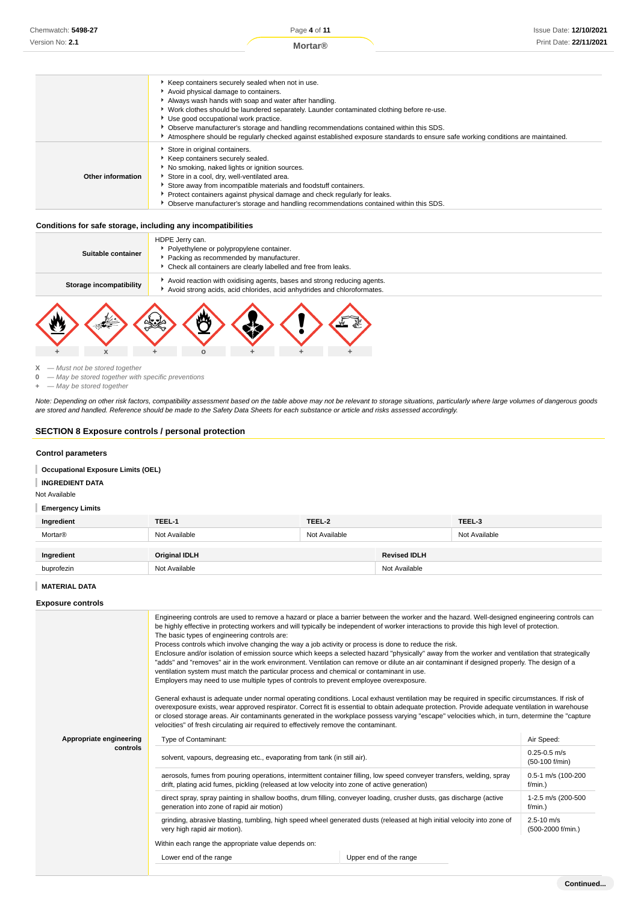|                   | Keep containers securely sealed when not in use.<br>Avoid physical damage to containers.<br>Always wash hands with soap and water after handling.<br>▶ Work clothes should be laundered separately. Launder contaminated clothing before re-use.<br>Use good occupational work practice.<br>Observe manufacturer's storage and handling recommendations contained within this SDS.<br>Atmosphere should be regularly checked against established exposure standards to ensure safe working conditions are maintained. |
|-------------------|-----------------------------------------------------------------------------------------------------------------------------------------------------------------------------------------------------------------------------------------------------------------------------------------------------------------------------------------------------------------------------------------------------------------------------------------------------------------------------------------------------------------------|
| Other information | Store in original containers.<br>Keep containers securely sealed.<br>No smoking, naked lights or ignition sources.<br>Store in a cool, dry, well-ventilated area.<br>Store away from incompatible materials and foodstuff containers.<br>Protect containers against physical damage and check regularly for leaks.<br>• Observe manufacturer's storage and handling recommendations contained within this SDS.                                                                                                        |

### **Conditions for safe storage, including any incompatibilities**

| Suitable container          | HDPE Jerry can.<br>Polyethylene or polypropylene container.<br>Packing as recommended by manufacturer.<br>• Check all containers are clearly labelled and free from leaks. |
|-----------------------------|----------------------------------------------------------------------------------------------------------------------------------------------------------------------------|
| Storage incompatibility     | Avoid reaction with oxidising agents, bases and strong reducing agents.<br>Avoid strong acids, acid chlorides, acid anhydrides and chloroformates.                         |
| $\sim$ $\sim$ $\sim$ $\sim$ |                                                                                                                                                                            |



**X** — Must not be stored together

**0** — May be stored together with specific preventions

**+** — May be stored together

Note: Depending on other risk factors, compatibility assessment based on the table above may not be relevant to storage situations, particularly where large volumes of dangerous goods are stored and handled. Reference should be made to the Safety Data Sheets for each substance or article and risks assessed accordingly.

# **SECTION 8 Exposure controls / personal protection**

# **Control parameters**

**Occupational Exposure Limits (OEL)**

**INGREDIENT DATA**

Not Available

## **Emergency Limits**

| Ingredient          | TEEL-1               | TEEL-2        |                     | TEEL-3        |
|---------------------|----------------------|---------------|---------------------|---------------|
| Mortar <sup>®</sup> | Not Available        | Not Available |                     | Not Available |
|                     |                      |               |                     |               |
| Ingredient          | <b>Original IDLH</b> |               | <b>Revised IDLH</b> |               |
| buprofezin          | Not Available        |               | Not Available       |               |

#### **MATERIAL DATA**

**Exposure controls**

|                         | Engineering controls are used to remove a hazard or place a barrier between the worker and the hazard. Well-designed engineering controls can<br>be highly effective in protecting workers and will typically be independent of worker interactions to provide this high level of protection.<br>The basic types of engineering controls are:<br>Process controls which involve changing the way a job activity or process is done to reduce the risk.<br>Enclosure and/or isolation of emission source which keeps a selected hazard "physically" away from the worker and ventilation that strategically<br>"adds" and "removes" air in the work environment. Ventilation can remove or dilute an air contaminant if designed properly. The design of a<br>ventilation system must match the particular process and chemical or contaminant in use.<br>Employers may need to use multiple types of controls to prevent employee overexposure. |                        |                                     |
|-------------------------|-------------------------------------------------------------------------------------------------------------------------------------------------------------------------------------------------------------------------------------------------------------------------------------------------------------------------------------------------------------------------------------------------------------------------------------------------------------------------------------------------------------------------------------------------------------------------------------------------------------------------------------------------------------------------------------------------------------------------------------------------------------------------------------------------------------------------------------------------------------------------------------------------------------------------------------------------|------------------------|-------------------------------------|
| Appropriate engineering | General exhaust is adequate under normal operating conditions. Local exhaust ventilation may be required in specific circumstances. If risk of<br>overexposure exists, wear approved respirator. Correct fit is essential to obtain adequate protection. Provide adequate ventilation in warehouse<br>or closed storage areas. Air contaminants generated in the workplace possess varying "escape" velocities which, in turn, determine the "capture<br>velocities" of fresh circulating air required to effectively remove the contaminant.<br>Type of Contaminant:                                                                                                                                                                                                                                                                                                                                                                           |                        | Air Speed:                          |
| controls                |                                                                                                                                                                                                                                                                                                                                                                                                                                                                                                                                                                                                                                                                                                                                                                                                                                                                                                                                                 |                        |                                     |
|                         | solvent, vapours, degreasing etc., evaporating from tank (in still air).                                                                                                                                                                                                                                                                                                                                                                                                                                                                                                                                                                                                                                                                                                                                                                                                                                                                        |                        | $0.25 - 0.5$ m/s<br>(50-100 f/min)  |
|                         | aerosols, fumes from pouring operations, intermittent container filling, low speed conveyer transfers, welding, spray<br>drift, plating acid fumes, pickling (released at low velocity into zone of active generation)                                                                                                                                                                                                                                                                                                                                                                                                                                                                                                                                                                                                                                                                                                                          |                        | 0.5-1 m/s (100-200<br>$f/min.$ )    |
|                         | direct spray, spray painting in shallow booths, drum filling, conveyer loading, crusher dusts, gas discharge (active<br>generation into zone of rapid air motion)                                                                                                                                                                                                                                                                                                                                                                                                                                                                                                                                                                                                                                                                                                                                                                               |                        | 1-2.5 m/s (200-500<br>$f/min.$ )    |
|                         | grinding, abrasive blasting, tumbling, high speed wheel generated dusts (released at high initial velocity into zone of<br>very high rapid air motion).                                                                                                                                                                                                                                                                                                                                                                                                                                                                                                                                                                                                                                                                                                                                                                                         |                        | $2.5 - 10$ m/s<br>(500-2000 f/min.) |
|                         | Within each range the appropriate value depends on:                                                                                                                                                                                                                                                                                                                                                                                                                                                                                                                                                                                                                                                                                                                                                                                                                                                                                             |                        |                                     |
|                         |                                                                                                                                                                                                                                                                                                                                                                                                                                                                                                                                                                                                                                                                                                                                                                                                                                                                                                                                                 |                        |                                     |
|                         | Lower end of the range                                                                                                                                                                                                                                                                                                                                                                                                                                                                                                                                                                                                                                                                                                                                                                                                                                                                                                                          | Upper end of the range |                                     |
|                         |                                                                                                                                                                                                                                                                                                                                                                                                                                                                                                                                                                                                                                                                                                                                                                                                                                                                                                                                                 |                        |                                     |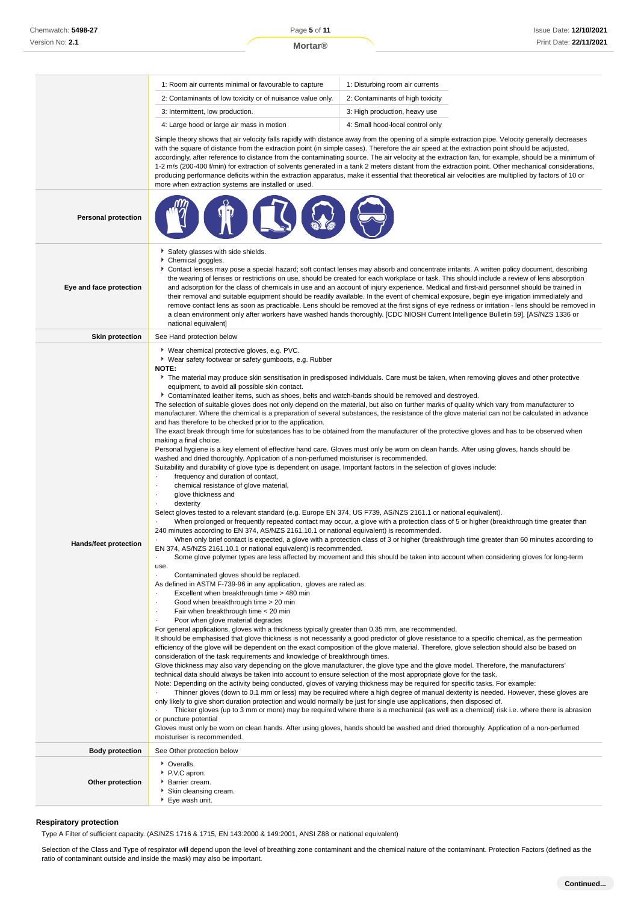|                            | 1: Room air currents minimal or favourable to capture                                                                                                                                                                                                                                                                                                                                                                                                                                                                                                                                                                                                                                                                                                                                                                                                                                                                                                                                                                                                                                                                                                                                                                                                                                                                                                                                                                                                                                                                                                                                                                                                                                                                                                                                                                                                                                                                                                                                                                                                                                                                                                                                                                                                                                                                                                                                                                                                                                                                                                                                                                                                                                                                                                                                                                                                                                                                                                                                                                                                                                                                                                                                                                                                                                                                                                                                                                                                                                                                                                                                                                                                                                                                                                                                                                                                                                                                                          | 1: Disturbing room air currents                                                                                                                                                                                                                                                                                                                                                                                                                                                                                                                                                                                                                                                                                                                                                                                                                                             |
|----------------------------|------------------------------------------------------------------------------------------------------------------------------------------------------------------------------------------------------------------------------------------------------------------------------------------------------------------------------------------------------------------------------------------------------------------------------------------------------------------------------------------------------------------------------------------------------------------------------------------------------------------------------------------------------------------------------------------------------------------------------------------------------------------------------------------------------------------------------------------------------------------------------------------------------------------------------------------------------------------------------------------------------------------------------------------------------------------------------------------------------------------------------------------------------------------------------------------------------------------------------------------------------------------------------------------------------------------------------------------------------------------------------------------------------------------------------------------------------------------------------------------------------------------------------------------------------------------------------------------------------------------------------------------------------------------------------------------------------------------------------------------------------------------------------------------------------------------------------------------------------------------------------------------------------------------------------------------------------------------------------------------------------------------------------------------------------------------------------------------------------------------------------------------------------------------------------------------------------------------------------------------------------------------------------------------------------------------------------------------------------------------------------------------------------------------------------------------------------------------------------------------------------------------------------------------------------------------------------------------------------------------------------------------------------------------------------------------------------------------------------------------------------------------------------------------------------------------------------------------------------------------------------------------------------------------------------------------------------------------------------------------------------------------------------------------------------------------------------------------------------------------------------------------------------------------------------------------------------------------------------------------------------------------------------------------------------------------------------------------------------------------------------------------------------------------------------------------------------------------------------------------------------------------------------------------------------------------------------------------------------------------------------------------------------------------------------------------------------------------------------------------------------------------------------------------------------------------------------------------------------------------------------------------------------------------------------------------------|-----------------------------------------------------------------------------------------------------------------------------------------------------------------------------------------------------------------------------------------------------------------------------------------------------------------------------------------------------------------------------------------------------------------------------------------------------------------------------------------------------------------------------------------------------------------------------------------------------------------------------------------------------------------------------------------------------------------------------------------------------------------------------------------------------------------------------------------------------------------------------|
|                            | 2: Contaminants of low toxicity or of nuisance value only.                                                                                                                                                                                                                                                                                                                                                                                                                                                                                                                                                                                                                                                                                                                                                                                                                                                                                                                                                                                                                                                                                                                                                                                                                                                                                                                                                                                                                                                                                                                                                                                                                                                                                                                                                                                                                                                                                                                                                                                                                                                                                                                                                                                                                                                                                                                                                                                                                                                                                                                                                                                                                                                                                                                                                                                                                                                                                                                                                                                                                                                                                                                                                                                                                                                                                                                                                                                                                                                                                                                                                                                                                                                                                                                                                                                                                                                                                     | 2: Contaminants of high toxicity                                                                                                                                                                                                                                                                                                                                                                                                                                                                                                                                                                                                                                                                                                                                                                                                                                            |
|                            | 3: Intermittent, low production.                                                                                                                                                                                                                                                                                                                                                                                                                                                                                                                                                                                                                                                                                                                                                                                                                                                                                                                                                                                                                                                                                                                                                                                                                                                                                                                                                                                                                                                                                                                                                                                                                                                                                                                                                                                                                                                                                                                                                                                                                                                                                                                                                                                                                                                                                                                                                                                                                                                                                                                                                                                                                                                                                                                                                                                                                                                                                                                                                                                                                                                                                                                                                                                                                                                                                                                                                                                                                                                                                                                                                                                                                                                                                                                                                                                                                                                                                                               | 3: High production, heavy use                                                                                                                                                                                                                                                                                                                                                                                                                                                                                                                                                                                                                                                                                                                                                                                                                                               |
|                            | 4: Large hood or large air mass in motion                                                                                                                                                                                                                                                                                                                                                                                                                                                                                                                                                                                                                                                                                                                                                                                                                                                                                                                                                                                                                                                                                                                                                                                                                                                                                                                                                                                                                                                                                                                                                                                                                                                                                                                                                                                                                                                                                                                                                                                                                                                                                                                                                                                                                                                                                                                                                                                                                                                                                                                                                                                                                                                                                                                                                                                                                                                                                                                                                                                                                                                                                                                                                                                                                                                                                                                                                                                                                                                                                                                                                                                                                                                                                                                                                                                                                                                                                                      | 4: Small hood-local control only                                                                                                                                                                                                                                                                                                                                                                                                                                                                                                                                                                                                                                                                                                                                                                                                                                            |
|                            | more when extraction systems are installed or used.                                                                                                                                                                                                                                                                                                                                                                                                                                                                                                                                                                                                                                                                                                                                                                                                                                                                                                                                                                                                                                                                                                                                                                                                                                                                                                                                                                                                                                                                                                                                                                                                                                                                                                                                                                                                                                                                                                                                                                                                                                                                                                                                                                                                                                                                                                                                                                                                                                                                                                                                                                                                                                                                                                                                                                                                                                                                                                                                                                                                                                                                                                                                                                                                                                                                                                                                                                                                                                                                                                                                                                                                                                                                                                                                                                                                                                                                                            | Simple theory shows that air velocity falls rapidly with distance away from the opening of a simple extraction pipe. Velocity generally decreases<br>with the square of distance from the extraction point (in simple cases). Therefore the air speed at the extraction point should be adjusted,<br>accordingly, after reference to distance from the contaminating source. The air velocity at the extraction fan, for example, should be a minimum of<br>1-2 m/s (200-400 f/min) for extraction of solvents generated in a tank 2 meters distant from the extraction point. Other mechanical considerations,<br>producing performance deficits within the extraction apparatus, make it essential that theoretical air velocities are multiplied by factors of 10 or                                                                                                     |
| <b>Personal protection</b> |                                                                                                                                                                                                                                                                                                                                                                                                                                                                                                                                                                                                                                                                                                                                                                                                                                                                                                                                                                                                                                                                                                                                                                                                                                                                                                                                                                                                                                                                                                                                                                                                                                                                                                                                                                                                                                                                                                                                                                                                                                                                                                                                                                                                                                                                                                                                                                                                                                                                                                                                                                                                                                                                                                                                                                                                                                                                                                                                                                                                                                                                                                                                                                                                                                                                                                                                                                                                                                                                                                                                                                                                                                                                                                                                                                                                                                                                                                                                                |                                                                                                                                                                                                                                                                                                                                                                                                                                                                                                                                                                                                                                                                                                                                                                                                                                                                             |
| Eye and face protection    | Safety glasses with side shields.<br>Chemical goggles.<br>national equivalent]                                                                                                                                                                                                                                                                                                                                                                                                                                                                                                                                                                                                                                                                                                                                                                                                                                                                                                                                                                                                                                                                                                                                                                                                                                                                                                                                                                                                                                                                                                                                                                                                                                                                                                                                                                                                                                                                                                                                                                                                                                                                                                                                                                                                                                                                                                                                                                                                                                                                                                                                                                                                                                                                                                                                                                                                                                                                                                                                                                                                                                                                                                                                                                                                                                                                                                                                                                                                                                                                                                                                                                                                                                                                                                                                                                                                                                                                 | Contact lenses may pose a special hazard; soft contact lenses may absorb and concentrate irritants. A written policy document, describing<br>the wearing of lenses or restrictions on use, should be created for each workplace or task. This should include a review of lens absorption<br>and adsorption for the class of chemicals in use and an account of injury experience. Medical and first-aid personnel should be trained in<br>their removal and suitable equipment should be readily available. In the event of chemical exposure, begin eye irrigation immediately and<br>remove contact lens as soon as practicable. Lens should be removed at the first signs of eye redness or irritation - lens should be removed in<br>a clean environment only after workers have washed hands thoroughly. [CDC NIOSH Current Intelligence Bulletin 59], [AS/NZS 1336 or |
| <b>Skin protection</b>     | See Hand protection below                                                                                                                                                                                                                                                                                                                                                                                                                                                                                                                                                                                                                                                                                                                                                                                                                                                                                                                                                                                                                                                                                                                                                                                                                                                                                                                                                                                                                                                                                                                                                                                                                                                                                                                                                                                                                                                                                                                                                                                                                                                                                                                                                                                                                                                                                                                                                                                                                                                                                                                                                                                                                                                                                                                                                                                                                                                                                                                                                                                                                                                                                                                                                                                                                                                                                                                                                                                                                                                                                                                                                                                                                                                                                                                                                                                                                                                                                                                      |                                                                                                                                                                                                                                                                                                                                                                                                                                                                                                                                                                                                                                                                                                                                                                                                                                                                             |
| Hands/feet protection      | * Wear chemical protective gloves, e.g. PVC.<br>▶ Wear safety footwear or safety gumboots, e.g. Rubber<br>NOTE:<br>The material may produce skin sensitisation in predisposed individuals. Care must be taken, when removing gloves and other protective<br>equipment, to avoid all possible skin contact.<br>► Contaminated leather items, such as shoes, belts and watch-bands should be removed and destroyed.<br>The selection of suitable gloves does not only depend on the material, but also on further marks of quality which vary from manufacturer to<br>manufacturer. Where the chemical is a preparation of several substances, the resistance of the glove material can not be calculated in advance<br>and has therefore to be checked prior to the application.<br>The exact break through time for substances has to be obtained from the manufacturer of the protective gloves and has to be observed when<br>making a final choice.<br>Personal hygiene is a key element of effective hand care. Gloves must only be worn on clean hands. After using gloves, hands should be<br>washed and dried thoroughly. Application of a non-perfumed moisturiser is recommended.<br>Suitability and durability of glove type is dependent on usage. Important factors in the selection of gloves include:<br>frequency and duration of contact,<br>chemical resistance of glove material,<br>glove thickness and<br>dexterity<br>Select gloves tested to a relevant standard (e.g. Europe EN 374, US F739, AS/NZS 2161.1 or national equivalent).<br>When prolonged or frequently repeated contact may occur, a glove with a protection class of 5 or higher (breakthrough time greater than<br>240 minutes according to EN 374, AS/NZS 2161.10.1 or national equivalent) is recommended.<br>When only brief contact is expected, a glove with a protection class of 3 or higher (breakthrough time greater than 60 minutes according to<br>EN 374, AS/NZS 2161.10.1 or national equivalent) is recommended.<br>Some glove polymer types are less affected by movement and this should be taken into account when considering gloves for long-term<br>use.<br>Contaminated gloves should be replaced.<br>As defined in ASTM F-739-96 in any application, gloves are rated as:<br>Excellent when breakthrough time > 480 min<br>Good when breakthrough time > 20 min<br>٠<br>Fair when breakthrough time < 20 min<br>٠<br>Poor when glove material degrades<br>For general applications, gloves with a thickness typically greater than 0.35 mm, are recommended.<br>It should be emphasised that glove thickness is not necessarily a good predictor of glove resistance to a specific chemical, as the permeation<br>efficiency of the glove will be dependent on the exact composition of the glove material. Therefore, glove selection should also be based on<br>consideration of the task requirements and knowledge of breakthrough times.<br>Glove thickness may also vary depending on the glove manufacturer, the glove type and the glove model. Therefore, the manufacturers'<br>technical data should always be taken into account to ensure selection of the most appropriate glove for the task.<br>Note: Depending on the activity being conducted, gloves of varying thickness may be required for specific tasks. For example:<br>Thinner gloves (down to 0.1 mm or less) may be required where a high degree of manual dexterity is needed. However, these gloves are<br>only likely to give short duration protection and would normally be just for single use applications, then disposed of.<br>Thicker gloves (up to 3 mm or more) may be required where there is a mechanical (as well as a chemical) risk i.e. where there is abrasion<br>or puncture potential<br>Gloves must only be worn on clean hands. After using gloves, hands should be washed and dried thoroughly. Application of a non-perfumed |                                                                                                                                                                                                                                                                                                                                                                                                                                                                                                                                                                                                                                                                                                                                                                                                                                                                             |
| <b>Body protection</b>     | moisturiser is recommended.<br>See Other protection below                                                                                                                                                                                                                                                                                                                                                                                                                                                                                                                                                                                                                                                                                                                                                                                                                                                                                                                                                                                                                                                                                                                                                                                                                                                                                                                                                                                                                                                                                                                                                                                                                                                                                                                                                                                                                                                                                                                                                                                                                                                                                                                                                                                                                                                                                                                                                                                                                                                                                                                                                                                                                                                                                                                                                                                                                                                                                                                                                                                                                                                                                                                                                                                                                                                                                                                                                                                                                                                                                                                                                                                                                                                                                                                                                                                                                                                                                      |                                                                                                                                                                                                                                                                                                                                                                                                                                                                                                                                                                                                                                                                                                                                                                                                                                                                             |
|                            | • Overalls.                                                                                                                                                                                                                                                                                                                                                                                                                                                                                                                                                                                                                                                                                                                                                                                                                                                                                                                                                                                                                                                                                                                                                                                                                                                                                                                                                                                                                                                                                                                                                                                                                                                                                                                                                                                                                                                                                                                                                                                                                                                                                                                                                                                                                                                                                                                                                                                                                                                                                                                                                                                                                                                                                                                                                                                                                                                                                                                                                                                                                                                                                                                                                                                                                                                                                                                                                                                                                                                                                                                                                                                                                                                                                                                                                                                                                                                                                                                                    |                                                                                                                                                                                                                                                                                                                                                                                                                                                                                                                                                                                                                                                                                                                                                                                                                                                                             |
| Other protection           | P.V.C apron.<br>Barrier cream.<br>Skin cleansing cream.<br>▶ Eye wash unit.                                                                                                                                                                                                                                                                                                                                                                                                                                                                                                                                                                                                                                                                                                                                                                                                                                                                                                                                                                                                                                                                                                                                                                                                                                                                                                                                                                                                                                                                                                                                                                                                                                                                                                                                                                                                                                                                                                                                                                                                                                                                                                                                                                                                                                                                                                                                                                                                                                                                                                                                                                                                                                                                                                                                                                                                                                                                                                                                                                                                                                                                                                                                                                                                                                                                                                                                                                                                                                                                                                                                                                                                                                                                                                                                                                                                                                                                    |                                                                                                                                                                                                                                                                                                                                                                                                                                                                                                                                                                                                                                                                                                                                                                                                                                                                             |

# **Respiratory protection**

Type A Filter of sufficient capacity. (AS/NZS 1716 & 1715, EN 143:2000 & 149:2001, ANSI Z88 or national equivalent)

Selection of the Class and Type of respirator will depend upon the level of breathing zone contaminant and the chemical nature of the contaminant. Protection Factors (defined as the ratio of contaminant outside and inside the mask) may also be important.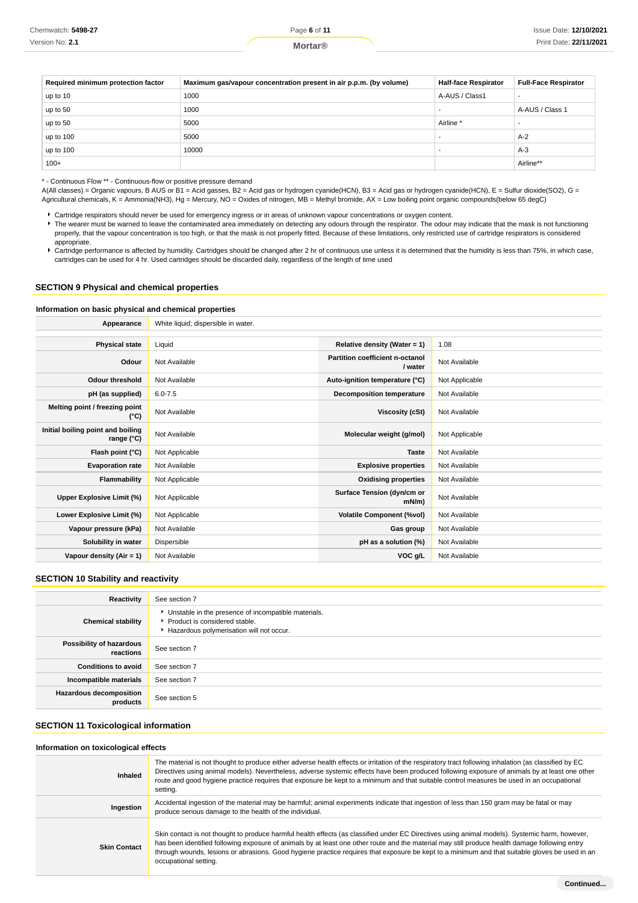| Required minimum protection factor | Maximum gas/vapour concentration present in air p.p.m. (by volume) | <b>Half-face Respirator</b> | <b>Full-Face Respirator</b> |
|------------------------------------|--------------------------------------------------------------------|-----------------------------|-----------------------------|
| up to 10                           | 1000                                                               | A-AUS / Class1              |                             |
| up to 50                           | 1000                                                               |                             | A-AUS / Class 1             |
| up to 50                           | 5000                                                               | Airline <sup>*</sup>        |                             |
| up to 100                          | 5000                                                               |                             | $A-2$                       |
| up to 100                          | 10000                                                              |                             | $A-3$                       |
| $100+$                             |                                                                    |                             | Airline**                   |

\* - Continuous Flow \*\* - Continuous-flow or positive pressure demand

A(All classes) = Organic vapours, B AUS or B1 = Acid gasses, B2 = Acid gas or hydrogen cyanide(HCN), B3 = Acid gas or hydrogen cyanide(HCN), E = Sulfur dioxide(SO2), G = Agricultural chemicals, K = Ammonia(NH3), Hg = Mercury, NO = Oxides of nitrogen, MB = Methyl bromide, AX = Low boiling point organic compounds(below 65 degC)

- Cartridge respirators should never be used for emergency ingress or in areas of unknown vapour concentrations or oxygen content.
- The wearer must be warned to leave the contaminated area immediately on detecting any odours through the respirator. The odour may indicate that the mask is not functioning properly, that the vapour concentration is too high, or that the mask is not properly fitted. Because of these limitations, only restricted use of cartridge respirators is considered appropriate.
- Cartridge performance is affected by humidity. Cartridges should be changed after 2 hr of continuous use unless it is determined that the humidity is less than 75%, in which case, cartridges can be used for 4 hr. Used cartridges should be discarded daily, regardless of the length of time used

# **SECTION 9 Physical and chemical properties**

## **Information on basic physical and chemical properties**

| Appearance                                      | White liquid; dispersible in water. |                                            |                |
|-------------------------------------------------|-------------------------------------|--------------------------------------------|----------------|
|                                                 |                                     |                                            |                |
| <b>Physical state</b>                           | Liquid                              | Relative density (Water = 1)               | 1.08           |
| Odour                                           | Not Available                       | Partition coefficient n-octanol<br>/ water | Not Available  |
| <b>Odour threshold</b>                          | Not Available                       | Auto-ignition temperature (°C)             | Not Applicable |
| pH (as supplied)                                | $6.0 - 7.5$                         | Decomposition temperature                  | Not Available  |
| Melting point / freezing point<br>(°C)          | Not Available                       | Viscosity (cSt)                            | Not Available  |
| Initial boiling point and boiling<br>range (°C) | Not Available                       | Molecular weight (g/mol)                   | Not Applicable |
| Flash point (°C)                                | Not Applicable                      | <b>Taste</b>                               | Not Available  |
| <b>Evaporation rate</b>                         | Not Available                       | <b>Explosive properties</b>                | Not Available  |
| Flammability                                    | Not Applicable                      | <b>Oxidising properties</b>                | Not Available  |
| <b>Upper Explosive Limit (%)</b>                | Not Applicable                      | Surface Tension (dyn/cm or<br>mN/m)        | Not Available  |
| Lower Explosive Limit (%)                       | Not Applicable                      | <b>Volatile Component (%vol)</b>           | Not Available  |
| Vapour pressure (kPa)                           | Not Available                       | Gas group                                  | Not Available  |
| Solubility in water                             | Dispersible                         | pH as a solution (%)                       | Not Available  |
| Vapour density (Air = 1)                        | Not Available                       | VOC g/L                                    | Not Available  |

# **SECTION 10 Stability and reactivity**

| Reactivity                                 | See section 7                                                                                                                        |
|--------------------------------------------|--------------------------------------------------------------------------------------------------------------------------------------|
| <b>Chemical stability</b>                  | • Unstable in the presence of incompatible materials.<br>▶ Product is considered stable.<br>Hazardous polymerisation will not occur. |
| Possibility of hazardous<br>reactions      | See section 7                                                                                                                        |
| <b>Conditions to avoid</b>                 | See section 7                                                                                                                        |
| Incompatible materials                     | See section 7                                                                                                                        |
| <b>Hazardous decomposition</b><br>products | See section 5                                                                                                                        |

# **SECTION 11 Toxicological information**

#### **Information on toxicological effects**

| Inhaled             | The material is not thought to produce either adverse health effects or irritation of the respiratory tract following inhalation (as classified by EC<br>Directives using animal models). Nevertheless, adverse systemic effects have been produced following exposure of animals by at least one other<br>route and good hygiene practice requires that exposure be kept to a minimum and that suitable control measures be used in an occupational<br>setting.            |
|---------------------|-----------------------------------------------------------------------------------------------------------------------------------------------------------------------------------------------------------------------------------------------------------------------------------------------------------------------------------------------------------------------------------------------------------------------------------------------------------------------------|
| Ingestion           | Accidental ingestion of the material may be harmful; animal experiments indicate that ingestion of less than 150 gram may be fatal or may<br>produce serious damage to the health of the individual.                                                                                                                                                                                                                                                                        |
| <b>Skin Contact</b> | Skin contact is not thought to produce harmful health effects (as classified under EC Directives using animal models). Systemic harm, however,<br>has been identified following exposure of animals by at least one other route and the material may still produce health damage following entry<br>through wounds, lesions or abrasions. Good hygiene practice requires that exposure be kept to a minimum and that suitable gloves be used in an<br>occupational setting. |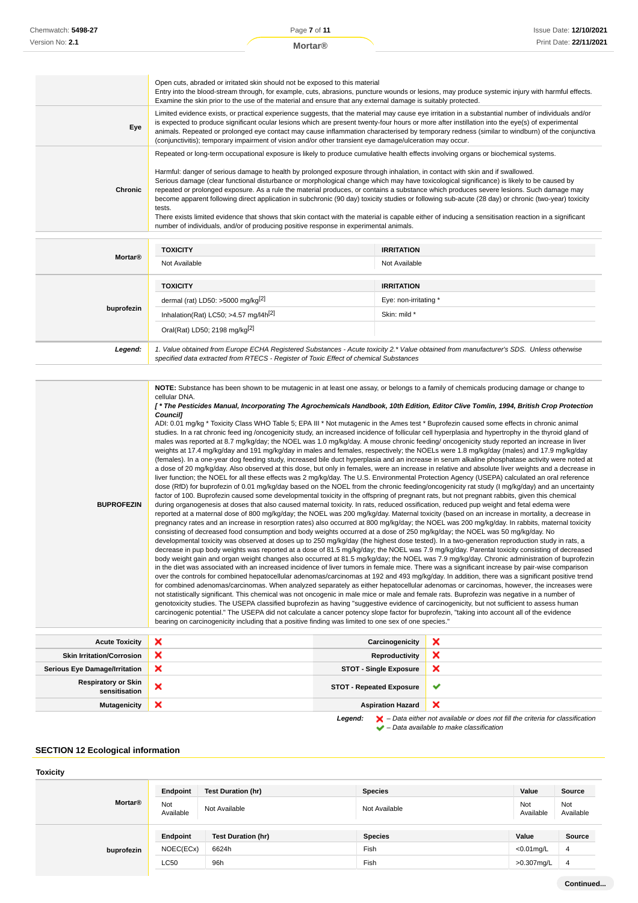|         | Open cuts, abraded or irritated skin should not be exposed to this material<br>Entry into the blood-stream through, for example, cuts, abrasions, puncture wounds or lesions, may produce systemic injury with harmful effects.<br>Examine the skin prior to the use of the material and ensure that any external damage is suitably protected.                                                                                                                                                                                                                                                                                                                                                                                                                                                                                                                                                                                                                               |
|---------|-------------------------------------------------------------------------------------------------------------------------------------------------------------------------------------------------------------------------------------------------------------------------------------------------------------------------------------------------------------------------------------------------------------------------------------------------------------------------------------------------------------------------------------------------------------------------------------------------------------------------------------------------------------------------------------------------------------------------------------------------------------------------------------------------------------------------------------------------------------------------------------------------------------------------------------------------------------------------------|
| Eye     | Limited evidence exists, or practical experience suggests, that the material may cause eye irritation in a substantial number of individuals and/or<br>is expected to produce significant ocular lesions which are present twenty-four hours or more after instillation into the eye(s) of experimental<br>animals. Repeated or prolonged eye contact may cause inflammation characterised by temporary redness (similar to windburn) of the conjunctiva<br>(conjunctivitis); temporary impairment of vision and/or other transient eye damage/ulceration may occur.                                                                                                                                                                                                                                                                                                                                                                                                          |
| Chronic | Repeated or long-term occupational exposure is likely to produce cumulative health effects involving organs or biochemical systems.<br>Harmful: danger of serious damage to health by prolonged exposure through inhalation, in contact with skin and if swallowed.<br>Serious damage (clear functional disturbance or morphological change which may have toxicological significance) is likely to be caused by<br>repeated or prolonged exposure. As a rule the material produces, or contains a substance which produces severe lesions. Such damage may<br>become apparent following direct application in subchronic (90 day) toxicity studies or following sub-acute (28 day) or chronic (two-year) toxicity<br>tests.<br>There exists limited evidence that shows that skin contact with the material is capable either of inducing a sensitisation reaction in a significant<br>number of individuals, and/or of producing positive response in experimental animals. |
|         |                                                                                                                                                                                                                                                                                                                                                                                                                                                                                                                                                                                                                                                                                                                                                                                                                                                                                                                                                                               |

| <b>Mortar<sup>®</sup></b> | <b>TOXICITY</b>                                                                                                                                                                                                                 | <b>IRRITATION</b>     |
|---------------------------|---------------------------------------------------------------------------------------------------------------------------------------------------------------------------------------------------------------------------------|-----------------------|
|                           | Not Available                                                                                                                                                                                                                   | Not Available         |
| buprofezin                | <b>TOXICITY</b>                                                                                                                                                                                                                 | <b>IRRITATION</b>     |
|                           | dermal (rat) LD50: $>5000$ mg/kg <sup>[2]</sup>                                                                                                                                                                                 | Eye: non-irritating * |
|                           | Inhalation(Rat) LC50; >4.57 mg/l4h <sup>[2]</sup>                                                                                                                                                                               | Skin: mild *          |
|                           | Oral(Rat) LD50; 2198 mg/kg[2]                                                                                                                                                                                                   |                       |
| Legend:                   | 1. Value obtained from Europe ECHA Registered Substances - Acute toxicity 2.* Value obtained from manufacturer's SDS. Unless otherwise<br>specified data extracted from RTECS - Register of Toxic Effect of chemical Substances |                       |

**NOTE:** Substance has been shown to be mutagenic in at least one assay, or belongs to a family of chemicals producing damage or change to cellular DNA.

**[ \* The Pesticides Manual, Incorporating The Agrochemicals Handbook, 10th Edition, Editor Clive Tomlin, 1994, British Crop Protection**

**Council]** ADI: 0.01 mg/kg \* Toxicity Class WHO Table 5; EPA III \* Not mutagenic in the Ames test \* Buprofezin caused some effects in chronic animal studies. In a rat chronic feed ing /oncogenicity study, an increased incidence of follicular cell hyperplasia and hypertrophy in the thyroid gland of males was reported at 8.7 mg/kg/day; the NOEL was 1.0 mg/kg/day. A mouse chronic feeding/ oncogenicity study reported an increase in liver weights at 17.4 mg/kg/day and 191 mg/kg/day in males and females, respectively; the NOELs were 1.8 mg/kg/day (males) and 17.9 mg/kg/day (females). In a one-year dog feeding study, increased bile duct hyperplasia and an increase in serum alkaline phosphatase activity were noted at a dose of 20 mg/kg/day. Also observed at this dose, but only in females, were an increase in relative and absolute liver weights and a decrease in liver function; the NOEL for all these effects was 2 mg/kg/day. The U.S. Environmental Protection Agency (USEPA) calculated an oral reference dose (RfD) for buprofezin of 0.01 mg/kg/day based on the NOEL from the chronic feeding/oncogenicity rat study (I mg/kg/day) and an uncertainty factor of 100. Buprofezin caused some developmental toxicity in the offspring of pregnant rats, but not pregnant rabbits, given this chemical during organogenesis at doses that also caused maternal toxicity. In rats, reduced ossification, reduced pup weight and fetal edema were reported at a maternal dose of 800 mg/kg/day; the NOEL was 200 mg/kg/day. Maternal toxicity (based on an increase in mortality, a decrease in pregnancy rates and an increase in resorption rates) also occurred at 800 mg/kg/day; the NOEL was 200 mg/kg/day. In rabbits, maternal toxicity consisting of decreased food consumption and body weights occurred at a dose of 250 mg/kg/day; the NOEL was 50 mg/kg/day. No developmental toxicity was observed at doses up to 250 mg/kg/day (the highest dose tested). In a two-generation reproduction study in rats, a decrease in pup body weights was reported at a dose of 81.5 mg/kg/day; the NOEL was 7.9 mg/kg/day. Parental toxicity consisting of decreased body weight gain and organ weight changes also occurred at 81.5 mg/kg/day; the NOEL was 7.9 mg/kg/day. Chronic administration of buprofezin in the diet was associated with an increased incidence of liver tumors in female mice. There was a significant increase by pair-wise comparison over the controls for combined hepatocellular adenomas/carcinomas at 192 and 493 mg/kg/day. In addition, there was a significant positive trend for combined adenomas/carcinomas. When analyzed separately as either hepatocellular adenomas or carcinomas, however, the increases were not statistically significant. This chemical was not oncogenic in male mice or male and female rats. Buprofezin was negative in a number of genotoxicity studies. The USEPA classified buprofezin as having "suggestive evidence of carcinogenicity, but not sufficient to assess human carcinogenic potential." The USEPA did not calculate a cancer potency slope factor for buprofezin, "taking into account all of the evidence bearing on carcinogenicity including that a positive finding was limited to one sex of one species."

| <b>Acute Toxicity</b>                       | $\boldsymbol{\mathsf{x}}$ | Carcinogenicity                 | $\overline{\phantom{a}}$                                                                           |
|---------------------------------------------|---------------------------|---------------------------------|----------------------------------------------------------------------------------------------------|
| <b>Skin Irritation/Corrosion</b>            | ×                         | Reproductivity                  | ᄌ                                                                                                  |
| <b>Serious Eye Damage/Irritation</b>        | ×                         | <b>STOT - Single Exposure</b>   |                                                                                                    |
| <b>Respiratory or Skin</b><br>sensitisation | ×                         | <b>STOT - Repeated Exposure</b> |                                                                                                    |
| <b>Mutagenicity</b>                         | ×                         | <b>Aspiration Hazard</b>        |                                                                                                    |
|                                             |                           | Legend:                         | $\blacktriangleright$ - Data either not available or does not fill the criteria for classification |

 $\blacktriangleright$  – Data available to make classification

#### **SECTION 12 Ecological information**

**BUPROFEZIN**

| <b>Toxicity</b>           |                  |                           |                |                  |                  |
|---------------------------|------------------|---------------------------|----------------|------------------|------------------|
|                           | Endpoint         | Test Duration (hr)        | <b>Species</b> | Value            | Source           |
| <b>Mortar<sup>®</sup></b> | Not<br>Available | Not Available             | Not Available  | Not<br>Available | Not<br>Available |
|                           | Endpoint         | <b>Test Duration (hr)</b> | <b>Species</b> | Value            | Source           |
| buprofezin                | NOEC(ECx)        | 6624h                     | Fish           | $<$ 0.01 $mg/L$  | $\overline{4}$   |
|                           | <b>LC50</b>      | 96h                       | Fish           | >0.307mg/L       | 4                |
|                           |                  |                           |                |                  |                  |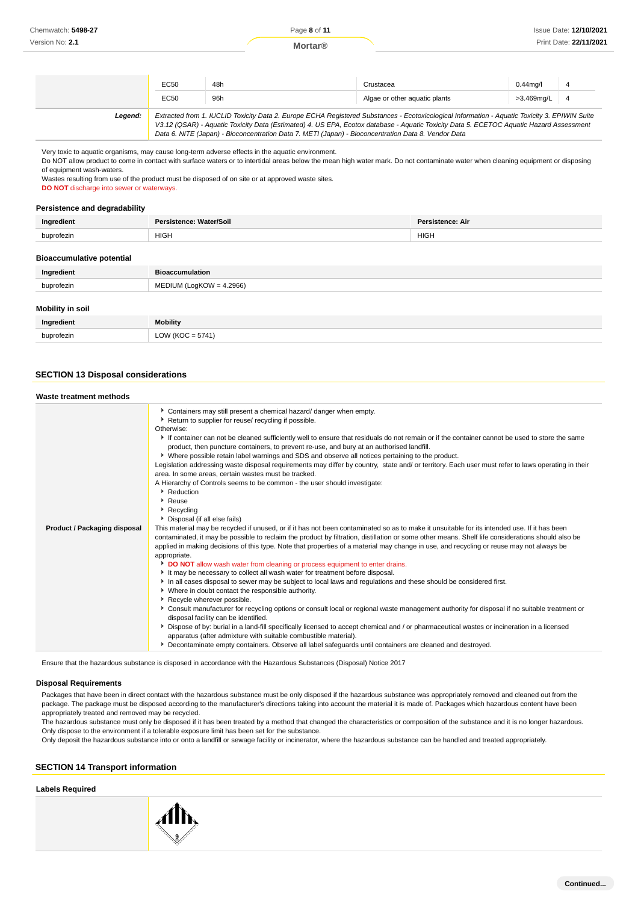|         | EC50 | 48h                                                                                                                                                                                                                                                                                                                                                                                             | Crustacea                     | $0.44$ ma/l     |  |
|---------|------|-------------------------------------------------------------------------------------------------------------------------------------------------------------------------------------------------------------------------------------------------------------------------------------------------------------------------------------------------------------------------------------------------|-------------------------------|-----------------|--|
|         | EC50 | 96h                                                                                                                                                                                                                                                                                                                                                                                             | Algae or other aguatic plants | $>3.469$ mg/L 4 |  |
| Leaend: |      | Extracted from 1. IUCLID Toxicity Data 2. Europe ECHA Registered Substances - Ecotoxicological Information - Aquatic Toxicity 3. EPIWIN Suite<br>V3.12 (QSAR) - Aquatic Toxicity Data (Estimated) 4. US EPA, Ecotox database - Aquatic Toxicity Data 5. ECETOC Aquatic Hazard Assessment<br>Data 6. NITE (Japan) - Bioconcentration Data 7. METI (Japan) - Bioconcentration Data 8. Vendor Data |                               |                 |  |

Very toxic to aquatic organisms, may cause long-term adverse effects in the aquatic environment.

Do NOT allow product to come in contact with surface waters or to intertidal areas below the mean high water mark. Do not contaminate water when cleaning equipment or disposing of equipment wash-waters.

Wastes resulting from use of the product must be disposed of on site or at approved waste sites. **DO NOT** discharge into sewer or waterways.

**Persistence and degradability**

| Ingredient | : Water/Soil<br>eietoneo: | Persistence: Air |
|------------|---------------------------|------------------|
| buprofezin | <b>HIGH</b>               | <b>HIGH</b>      |
|            |                           |                  |

#### **Bioaccumulative potential**

| Ingredient              | <b>Bioaccumulation</b>     |
|-------------------------|----------------------------|
| buprofezin              | $MEDIUM (LogKOW = 4.2966)$ |
| <b>Mobility in soil</b> |                            |

| Ingredient | <b>Mobility</b> |
|------------|-----------------|
| buprofezin | $= 5741'$       |
|            |                 |

# **SECTION 13 Disposal considerations**

| Waste treatment methods      |                                                                                                                                                                                                                                                                                                                                                                                                                                                                                                                                                                                                                                                                                                                                                                                                                                                                                                                                                                                                                                                                                                                                                                                                                                                                                                                                                                                                                                                                                                                                                                                                                                                                                                                                                                                                                                                                                                                                                                                                                                                                                                                                           |
|------------------------------|-------------------------------------------------------------------------------------------------------------------------------------------------------------------------------------------------------------------------------------------------------------------------------------------------------------------------------------------------------------------------------------------------------------------------------------------------------------------------------------------------------------------------------------------------------------------------------------------------------------------------------------------------------------------------------------------------------------------------------------------------------------------------------------------------------------------------------------------------------------------------------------------------------------------------------------------------------------------------------------------------------------------------------------------------------------------------------------------------------------------------------------------------------------------------------------------------------------------------------------------------------------------------------------------------------------------------------------------------------------------------------------------------------------------------------------------------------------------------------------------------------------------------------------------------------------------------------------------------------------------------------------------------------------------------------------------------------------------------------------------------------------------------------------------------------------------------------------------------------------------------------------------------------------------------------------------------------------------------------------------------------------------------------------------------------------------------------------------------------------------------------------------|
| Product / Packaging disposal | Containers may still present a chemical hazard/ danger when empty.<br>Return to supplier for reuse/ recycling if possible.<br>Otherwise:<br>If container can not be cleaned sufficiently well to ensure that residuals do not remain or if the container cannot be used to store the same<br>product, then puncture containers, to prevent re-use, and bury at an authorised landfill.<br>• Where possible retain label warnings and SDS and observe all notices pertaining to the product.<br>Legislation addressing waste disposal requirements may differ by country, state and/ or territory. Each user must refer to laws operating in their<br>area. In some areas, certain wastes must be tracked.<br>A Hierarchy of Controls seems to be common - the user should investigate:<br>Reduction<br>$\triangleright$ Reuse<br>▶ Recycling<br>Disposal (if all else fails)<br>This material may be recycled if unused, or if it has not been contaminated so as to make it unsuitable for its intended use. If it has been<br>contaminated, it may be possible to reclaim the product by filtration, distillation or some other means. Shelf life considerations should also be<br>applied in making decisions of this type. Note that properties of a material may change in use, and recycling or reuse may not always be<br>appropriate.<br><b>DO NOT</b> allow wash water from cleaning or process equipment to enter drains.<br>It may be necessary to collect all wash water for treatment before disposal.<br>In all cases disposal to sewer may be subject to local laws and regulations and these should be considered first.<br>• Where in doubt contact the responsible authority.<br>Recycle wherever possible.<br>▶ Consult manufacturer for recycling options or consult local or regional waste management authority for disposal if no suitable treatment or<br>disposal facility can be identified.<br>▶ Dispose of by: burial in a land-fill specifically licensed to accept chemical and / or pharmaceutical wastes or incineration in a licensed<br>apparatus (after admixture with suitable combustible material). |
|                              | ▶ Decontaminate empty containers. Observe all label safeguards until containers are cleaned and destroyed.                                                                                                                                                                                                                                                                                                                                                                                                                                                                                                                                                                                                                                                                                                                                                                                                                                                                                                                                                                                                                                                                                                                                                                                                                                                                                                                                                                                                                                                                                                                                                                                                                                                                                                                                                                                                                                                                                                                                                                                                                                |

Ensure that the hazardous substance is disposed in accordance with the Hazardous Substances (Disposal) Notice 2017

#### **Disposal Requirements**

Packages that have been in direct contact with the hazardous substance must be only disposed if the hazardous substance was appropriately removed and cleaned out from the package. The package must be disposed according to the manufacturer's directions taking into account the material it is made of. Packages which hazardous content have been appropriately treated and removed may be recycled.

The hazardous substance must only be disposed if it has been treated by a method that changed the characteristics or composition of the substance and it is no longer hazardous. Only dispose to the environment if a tolerable exposure limit has been set for the substance.

Only deposit the hazardous substance into or onto a landfill or sewage facility or incinerator, where the hazardous substance can be handled and treated appropriately.

## **SECTION 14 Transport information**

## **Labels Required**

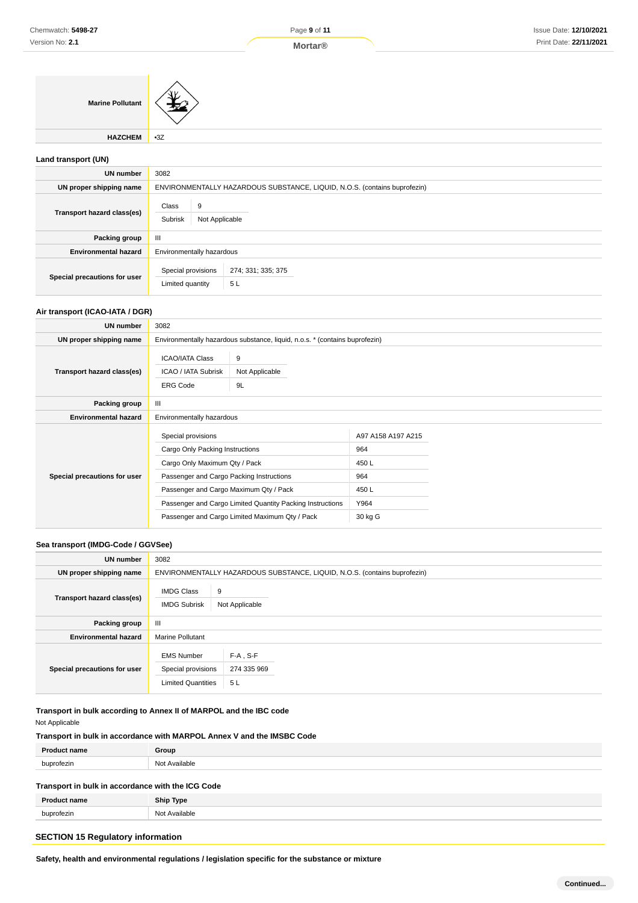**Marine Pollutant**

**HAZCHEM** •3Z

# **Land transport (UN)**

| <b>UN number</b>             | 3082                                                                      |  |  |
|------------------------------|---------------------------------------------------------------------------|--|--|
| UN proper shipping name      | ENVIRONMENTALLY HAZARDOUS SUBSTANCE, LIQUID, N.O.S. (contains buprofezin) |  |  |
| Transport hazard class(es)   | Class<br>9<br>Subrisk<br>Not Applicable                                   |  |  |
| <b>Packing group</b>         | $\mathbf{III}$                                                            |  |  |
| <b>Environmental hazard</b>  | Environmentally hazardous                                                 |  |  |
| Special precautions for user | Special provisions<br>274; 331; 335; 375<br>5L<br>Limited quantity        |  |  |

# **Air transport (ICAO-IATA / DGR)**

| UN number                    | 3082                                                                                   |                                                                             |                                   |  |
|------------------------------|----------------------------------------------------------------------------------------|-----------------------------------------------------------------------------|-----------------------------------|--|
| UN proper shipping name      |                                                                                        | Environmentally hazardous substance, liquid, n.o.s. * (contains buprofezin) |                                   |  |
| Transport hazard class(es)   | <b>ICAO/IATA Class</b><br>ICAO / IATA Subrisk<br><b>ERG Code</b>                       | 9<br>Not Applicable<br>9L                                                   |                                   |  |
| Packing group                | Ш                                                                                      |                                                                             |                                   |  |
| <b>Environmental hazard</b>  |                                                                                        | Environmentally hazardous                                                   |                                   |  |
|                              | Special provisions<br>Cargo Only Packing Instructions<br>Cargo Only Maximum Qty / Pack |                                                                             | A97 A158 A197 A215<br>964<br>450L |  |
| Special precautions for user | Passenger and Cargo Packing Instructions                                               |                                                                             | 964                               |  |
|                              | Passenger and Cargo Maximum Qty / Pack                                                 |                                                                             | 450 L                             |  |
|                              |                                                                                        | Passenger and Cargo Limited Quantity Packing Instructions                   | Y964                              |  |
|                              |                                                                                        | Passenger and Cargo Limited Maximum Qty / Pack                              | 30 kg G                           |  |

# **Sea transport (IMDG-Code / GGVSee)**

| <b>UN number</b>             | 3082                                                                 |                                                                           |  |  |
|------------------------------|----------------------------------------------------------------------|---------------------------------------------------------------------------|--|--|
| UN proper shipping name      |                                                                      | ENVIRONMENTALLY HAZARDOUS SUBSTANCE, LIQUID, N.O.S. (contains buprofezin) |  |  |
| Transport hazard class(es)   | <b>IMDG Class</b><br><b>IMDG Subrisk</b>                             | 9<br>Not Applicable                                                       |  |  |
| Packing group                | Ш                                                                    |                                                                           |  |  |
| <b>Environmental hazard</b>  | <b>Marine Pollutant</b>                                              |                                                                           |  |  |
| Special precautions for user | <b>EMS Number</b><br>Special provisions<br><b>Limited Quantities</b> | $F-A$ , S-F<br>274 335 969<br>5L                                          |  |  |

# **Transport in bulk according to Annex II of MARPOL and the IBC code**

Not Applicable

# **Transport in bulk in accordance with MARPOL Annex V and the IMSBC Code**

| <b>Product name</b>                               | Group         |  |
|---------------------------------------------------|---------------|--|
| buprofezin                                        | Not Available |  |
| Transport in bulk in accordance with the ICG Code |               |  |

# **Product name Ship Type** buprofezin **Not Available**

# **SECTION 15 Regulatory information**

**Safety, health and environmental regulations / legislation specific for the substance or mixture**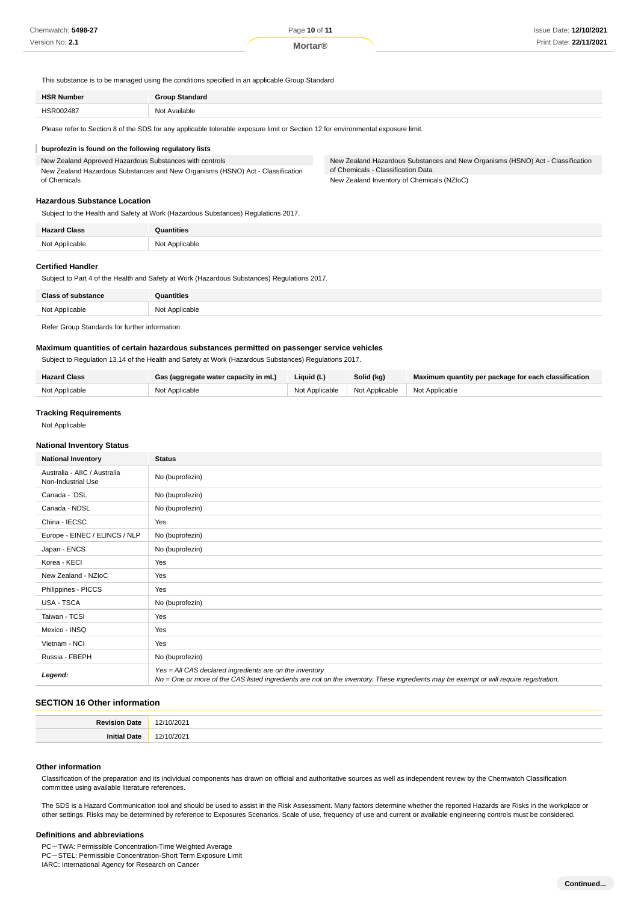This substance is to be managed using the conditions specified in an applicable Group Standard

| <b>HSR Number</b>                 |          |
|-----------------------------------|----------|
| $\sim$<br>ገጋ <i>ለ</i> ጸ<br>$\sim$ | wailahle |

Please refer to Section 8 of the SDS for any applicable tolerable exposure limit or Section 12 for environmental exposure limit.

## **buprofezin is found on the following regulatory lists**

| New Zealand Approved Hazardous Substances with controls                        |
|--------------------------------------------------------------------------------|
| New Zealand Hazardous Substances and New Organisms (HSNO) Act - Classification |
| of Chemicals                                                                   |

New Zealand Hazardous Substances and New Organisms (HSNO) Act - Classification of Chemicals - Classification Data New Zealand Inventory of Chemicals (NZIoC)

### **Hazardous Substance Location**

Subject to the Health and Safety at Work (Hazardous Substances) Regulations 2017.

| The           | ition       |
|---------------|-------------|
| ,,,,,         | .           |
| NM+           | : Annlicahu |
| <b>SCABLE</b> | NM          |

#### **Certified Handler**

Subject to Part 4 of the Health and Safety at Work (Hazardous Substances) Regulations 2017.

| Close          | <b>Quantities</b>        |
|----------------|--------------------------|
| Not Applicable | Not Applicable<br>v<br>. |
|                |                          |

Refer Group Standards for further information

### **Maximum quantities of certain hazardous substances permitted on passenger service vehicles**

Subject to Regulation 13.14 of the Health and Safety at Work (Hazardous Substances) Regulations 2017.

| <b>Hazard Class</b> | Gas (aggregate water capacity in mL) | Liauid (L)     | Solid (kg)     | Maximum quantity per package for each classification |
|---------------------|--------------------------------------|----------------|----------------|------------------------------------------------------|
| Not Applicable      | Not Applicable                       | Not Applicable | Not Applicable | Not Applicable                                       |

#### **Tracking Requirements**

Not Applicable

#### **National Inventory Status**

| <b>National Inventory</b>                          | <b>Status</b>                                                                                                                                                                                     |
|----------------------------------------------------|---------------------------------------------------------------------------------------------------------------------------------------------------------------------------------------------------|
| Australia - AIIC / Australia<br>Non-Industrial Use | No (buprofezin)                                                                                                                                                                                   |
| Canada - DSL                                       | No (buprofezin)                                                                                                                                                                                   |
| Canada - NDSL                                      | No (buprofezin)                                                                                                                                                                                   |
| China - IECSC                                      | Yes                                                                                                                                                                                               |
| Europe - EINEC / ELINCS / NLP                      | No (buprofezin)                                                                                                                                                                                   |
| Japan - ENCS                                       | No (buprofezin)                                                                                                                                                                                   |
| Korea - KECI                                       | Yes                                                                                                                                                                                               |
| New Zealand - NZIoC                                | Yes                                                                                                                                                                                               |
| Philippines - PICCS                                | Yes                                                                                                                                                                                               |
| <b>USA - TSCA</b>                                  | No (buprofezin)                                                                                                                                                                                   |
| Taiwan - TCSI                                      | Yes                                                                                                                                                                                               |
| Mexico - INSQ                                      | Yes                                                                                                                                                                                               |
| Vietnam - NCI                                      | Yes                                                                                                                                                                                               |
| Russia - FBEPH                                     | No (buprofezin)                                                                                                                                                                                   |
| Legend:                                            | Yes = All CAS declared ingredients are on the inventory<br>No = One or more of the CAS listed ingredients are not on the inventory. These ingredients may be exempt or will require registration. |

# **SECTION 16 Other information**

| $\sim$<br><b>Davisie</b><br>1ate<br><br>ш | 202<br>$\sim$ |
|-------------------------------------------|---------------|
| .                                         | 202           |

#### **Other information**

Classification of the preparation and its individual components has drawn on official and authoritative sources as well as independent review by the Chemwatch Classification committee using available literature references.

The SDS is a Hazard Communication tool and should be used to assist in the Risk Assessment. Many factors determine whether the reported Hazards are Risks in the workplace or other settings. Risks may be determined by reference to Exposures Scenarios. Scale of use, frequency of use and current or available engineering controls must be considered.

#### **Definitions and abbreviations**

PC-TWA: Permissible Concentration-Time Weighted Average PC-STEL: Permissible Concentration-Short Term Exposure Limit IARC: International Agency for Research on Cancer